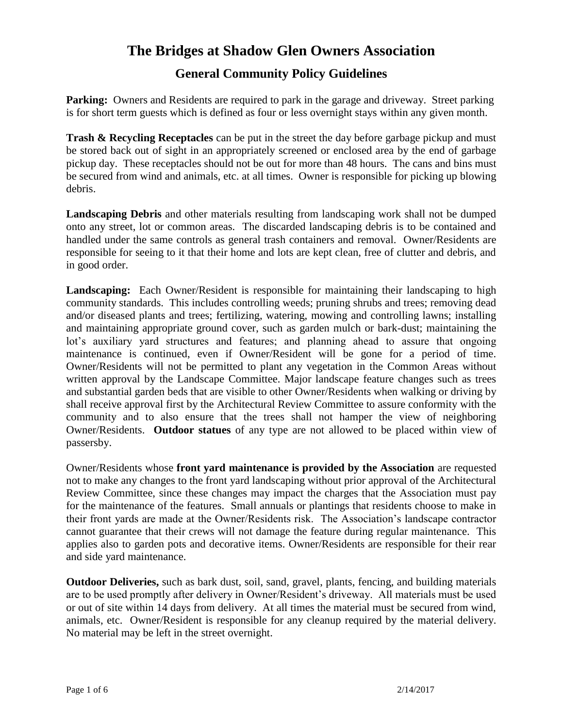## **General Community Policy Guidelines**

**Parking:** Owners and Residents are required to park in the garage and driveway. Street parking is for short term guests which is defined as four or less overnight stays within any given month.

**Trash & Recycling Receptacles** can be put in the street the day before garbage pickup and must be stored back out of sight in an appropriately screened or enclosed area by the end of garbage pickup day. These receptacles should not be out for more than 48 hours. The cans and bins must be secured from wind and animals, etc. at all times. Owner is responsible for picking up blowing debris.

**Landscaping Debris** and other materials resulting from landscaping work shall not be dumped onto any street, lot or common areas. The discarded landscaping debris is to be contained and handled under the same controls as general trash containers and removal. Owner/Residents are responsible for seeing to it that their home and lots are kept clean, free of clutter and debris, and in good order.

**Landscaping:** Each Owner/Resident is responsible for maintaining their landscaping to high community standards. This includes controlling weeds; pruning shrubs and trees; removing dead and/or diseased plants and trees; fertilizing, watering, mowing and controlling lawns; installing and maintaining appropriate ground cover, such as garden mulch or bark-dust; maintaining the lot's auxiliary yard structures and features; and planning ahead to assure that ongoing maintenance is continued, even if Owner/Resident will be gone for a period of time. Owner/Residents will not be permitted to plant any vegetation in the Common Areas without written approval by the Landscape Committee. Major landscape feature changes such as trees and substantial garden beds that are visible to other Owner/Residents when walking or driving by shall receive approval first by the Architectural Review Committee to assure conformity with the community and to also ensure that the trees shall not hamper the view of neighboring Owner/Residents. **Outdoor statues** of any type are not allowed to be placed within view of passersby.

Owner/Residents whose **front yard maintenance is provided by the Association** are requested not to make any changes to the front yard landscaping without prior approval of the Architectural Review Committee, since these changes may impact the charges that the Association must pay for the maintenance of the features. Small annuals or plantings that residents choose to make in their front yards are made at the Owner/Residents risk. The Association's landscape contractor cannot guarantee that their crews will not damage the feature during regular maintenance. This applies also to garden pots and decorative items. Owner/Residents are responsible for their rear and side yard maintenance.

**Outdoor Deliveries,** such as bark dust, soil, sand, gravel, plants, fencing, and building materials are to be used promptly after delivery in Owner/Resident's driveway. All materials must be used or out of site within 14 days from delivery. At all times the material must be secured from wind, animals, etc. Owner/Resident is responsible for any cleanup required by the material delivery. No material may be left in the street overnight.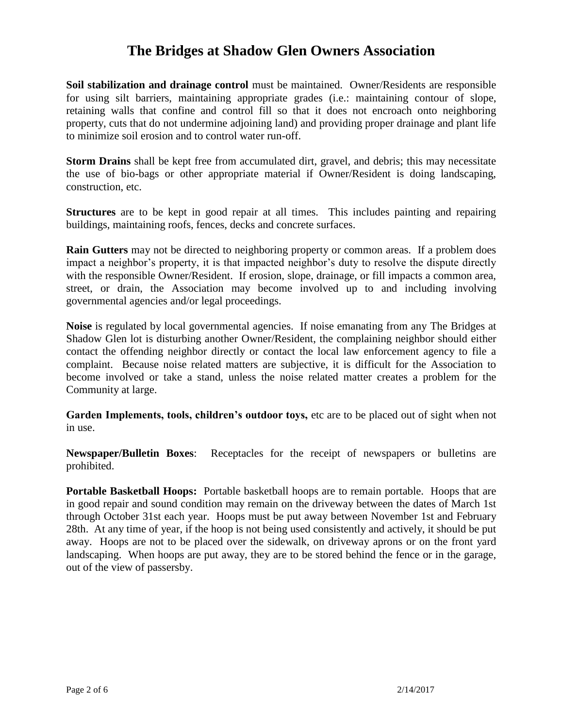**Soil stabilization and drainage control** must be maintained. Owner/Residents are responsible for using silt barriers, maintaining appropriate grades (i.e.: maintaining contour of slope, retaining walls that confine and control fill so that it does not encroach onto neighboring property, cuts that do not undermine adjoining land) and providing proper drainage and plant life to minimize soil erosion and to control water run-off.

**Storm Drains** shall be kept free from accumulated dirt, gravel, and debris; this may necessitate the use of bio-bags or other appropriate material if Owner/Resident is doing landscaping, construction, etc.

**Structures** are to be kept in good repair at all times. This includes painting and repairing buildings, maintaining roofs, fences, decks and concrete surfaces.

**Rain Gutters** may not be directed to neighboring property or common areas. If a problem does impact a neighbor's property, it is that impacted neighbor's duty to resolve the dispute directly with the responsible Owner/Resident. If erosion, slope, drainage, or fill impacts a common area, street, or drain, the Association may become involved up to and including involving governmental agencies and/or legal proceedings.

**Noise** is regulated by local governmental agencies. If noise emanating from any The Bridges at Shadow Glen lot is disturbing another Owner/Resident, the complaining neighbor should either contact the offending neighbor directly or contact the local law enforcement agency to file a complaint. Because noise related matters are subjective, it is difficult for the Association to become involved or take a stand, unless the noise related matter creates a problem for the Community at large.

**Garden Implements, tools, children's outdoor toys,** etc are to be placed out of sight when not in use.

**Newspaper/Bulletin Boxes**: Receptacles for the receipt of newspapers or bulletins are prohibited.

**Portable Basketball Hoops:** Portable basketball hoops are to remain portable. Hoops that are in good repair and sound condition may remain on the driveway between the dates of March 1st through October 31st each year. Hoops must be put away between November 1st and February 28th. At any time of year, if the hoop is not being used consistently and actively, it should be put away. Hoops are not to be placed over the sidewalk, on driveway aprons or on the front yard landscaping. When hoops are put away, they are to be stored behind the fence or in the garage, out of the view of passersby.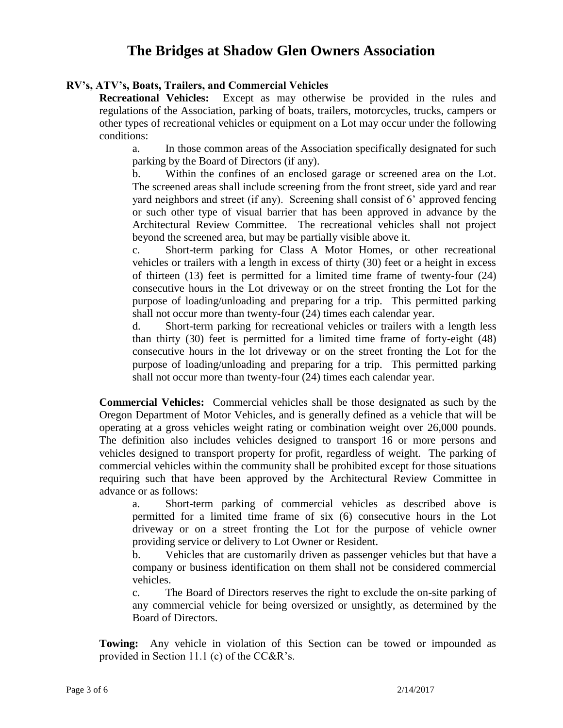#### **RV's, ATV's, Boats, Trailers, and Commercial Vehicles**

**Recreational Vehicles:** Except as may otherwise be provided in the rules and regulations of the Association, parking of boats, trailers, motorcycles, trucks, campers or other types of recreational vehicles or equipment on a Lot may occur under the following conditions:

a. In those common areas of the Association specifically designated for such parking by the Board of Directors (if any).

b. Within the confines of an enclosed garage or screened area on the Lot. The screened areas shall include screening from the front street, side yard and rear yard neighbors and street (if any). Screening shall consist of 6' approved fencing or such other type of visual barrier that has been approved in advance by the Architectural Review Committee. The recreational vehicles shall not project beyond the screened area, but may be partially visible above it.

c. Short-term parking for Class A Motor Homes, or other recreational vehicles or trailers with a length in excess of thirty (30) feet or a height in excess of thirteen (13) feet is permitted for a limited time frame of twenty-four (24) consecutive hours in the Lot driveway or on the street fronting the Lot for the purpose of loading/unloading and preparing for a trip. This permitted parking shall not occur more than twenty-four (24) times each calendar year.

d. Short-term parking for recreational vehicles or trailers with a length less than thirty (30) feet is permitted for a limited time frame of forty-eight (48) consecutive hours in the lot driveway or on the street fronting the Lot for the purpose of loading/unloading and preparing for a trip. This permitted parking shall not occur more than twenty-four (24) times each calendar year.

**Commercial Vehicles:** Commercial vehicles shall be those designated as such by the Oregon Department of Motor Vehicles, and is generally defined as a vehicle that will be operating at a gross vehicles weight rating or combination weight over 26,000 pounds. The definition also includes vehicles designed to transport 16 or more persons and vehicles designed to transport property for profit, regardless of weight. The parking of commercial vehicles within the community shall be prohibited except for those situations requiring such that have been approved by the Architectural Review Committee in advance or as follows:

a. Short-term parking of commercial vehicles as described above is permitted for a limited time frame of six (6) consecutive hours in the Lot driveway or on a street fronting the Lot for the purpose of vehicle owner providing service or delivery to Lot Owner or Resident.

b. Vehicles that are customarily driven as passenger vehicles but that have a company or business identification on them shall not be considered commercial vehicles.

c. The Board of Directors reserves the right to exclude the on-site parking of any commercial vehicle for being oversized or unsightly, as determined by the Board of Directors.

**Towing:** Any vehicle in violation of this Section can be towed or impounded as provided in Section 11.1 (c) of the CC&R's.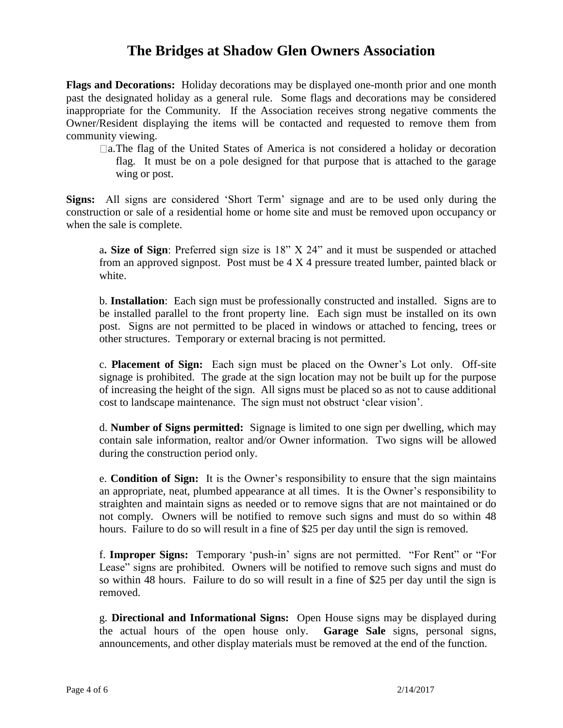**Flags and Decorations:** Holiday decorations may be displayed one-month prior and one month past the designated holiday as a general rule. Some flags and decorations may be considered inappropriate for the Community. If the Association receives strong negative comments the Owner/Resident displaying the items will be contacted and requested to remove them from community viewing.

 $\Box$ a.The flag of the United States of America is not considered a holiday or decoration flag. It must be on a pole designed for that purpose that is attached to the garage wing or post.

**Signs:** All signs are considered 'Short Term' signage and are to be used only during the construction or sale of a residential home or home site and must be removed upon occupancy or when the sale is complete.

a**. Size of Sign**: Preferred sign size is 18" X 24" and it must be suspended or attached from an approved signpost. Post must be 4 X 4 pressure treated lumber, painted black or white.

b. **Installation**: Each sign must be professionally constructed and installed. Signs are to be installed parallel to the front property line. Each sign must be installed on its own post. Signs are not permitted to be placed in windows or attached to fencing, trees or other structures. Temporary or external bracing is not permitted.

c. **Placement of Sign:** Each sign must be placed on the Owner's Lot only. Off-site signage is prohibited. The grade at the sign location may not be built up for the purpose of increasing the height of the sign. All signs must be placed so as not to cause additional cost to landscape maintenance. The sign must not obstruct 'clear vision'.

d. **Number of Signs permitted:** Signage is limited to one sign per dwelling, which may contain sale information, realtor and/or Owner information. Two signs will be allowed during the construction period only.

e. **Condition of Sign:** It is the Owner's responsibility to ensure that the sign maintains an appropriate, neat, plumbed appearance at all times. It is the Owner's responsibility to straighten and maintain signs as needed or to remove signs that are not maintained or do not comply. Owners will be notified to remove such signs and must do so within 48 hours. Failure to do so will result in a fine of \$25 per day until the sign is removed.

f. **Improper Signs:** Temporary 'push-in' signs are not permitted. "For Rent" or "For Lease" signs are prohibited. Owners will be notified to remove such signs and must do so within 48 hours. Failure to do so will result in a fine of \$25 per day until the sign is removed.

g. **Directional and Informational Signs:** Open House signs may be displayed during the actual hours of the open house only. **Garage Sale** signs, personal signs, announcements, and other display materials must be removed at the end of the function.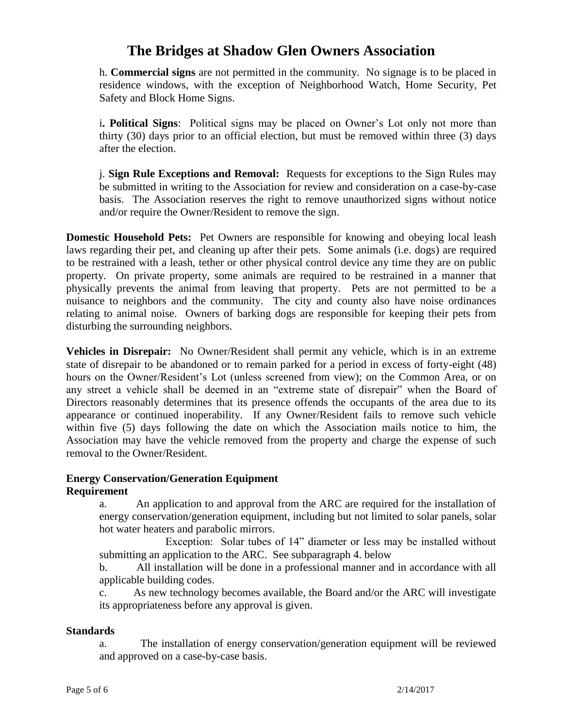h. **Commercial signs** are not permitted in the community. No signage is to be placed in residence windows, with the exception of Neighborhood Watch, Home Security, Pet Safety and Block Home Signs.

i**. Political Signs**: Political signs may be placed on Owner's Lot only not more than thirty (30) days prior to an official election, but must be removed within three (3) days after the election.

j. **Sign Rule Exceptions and Removal:** Requests for exceptions to the Sign Rules may be submitted in writing to the Association for review and consideration on a case-by-case basis. The Association reserves the right to remove unauthorized signs without notice and/or require the Owner/Resident to remove the sign.

**Domestic Household Pets:** Pet Owners are responsible for knowing and obeying local leash laws regarding their pet, and cleaning up after their pets. Some animals (i.e. dogs) are required to be restrained with a leash, tether or other physical control device any time they are on public property. On private property, some animals are required to be restrained in a manner that physically prevents the animal from leaving that property. Pets are not permitted to be a nuisance to neighbors and the community. The city and county also have noise ordinances relating to animal noise. Owners of barking dogs are responsible for keeping their pets from disturbing the surrounding neighbors.

**Vehicles in Disrepair:** No Owner/Resident shall permit any vehicle, which is in an extreme state of disrepair to be abandoned or to remain parked for a period in excess of forty-eight (48) hours on the Owner/Resident's Lot (unless screened from view); on the Common Area, or on any street a vehicle shall be deemed in an "extreme state of disrepair" when the Board of Directors reasonably determines that its presence offends the occupants of the area due to its appearance or continued inoperability. If any Owner/Resident fails to remove such vehicle within five (5) days following the date on which the Association mails notice to him, the Association may have the vehicle removed from the property and charge the expense of such removal to the Owner/Resident.

### **Energy Conservation/Generation Equipment**

### **Requirement**

a. An application to and approval from the ARC are required for the installation of energy conservation/generation equipment, including but not limited to solar panels, solar hot water heaters and parabolic mirrors.

 Exception: Solar tubes of 14" diameter or less may be installed without submitting an application to the ARC. See subparagraph 4. below

b. All installation will be done in a professional manner and in accordance with all applicable building codes.

c. As new technology becomes available, the Board and/or the ARC will investigate its appropriateness before any approval is given.

### **Standards**

a. The installation of energy conservation/generation equipment will be reviewed and approved on a case-by-case basis.